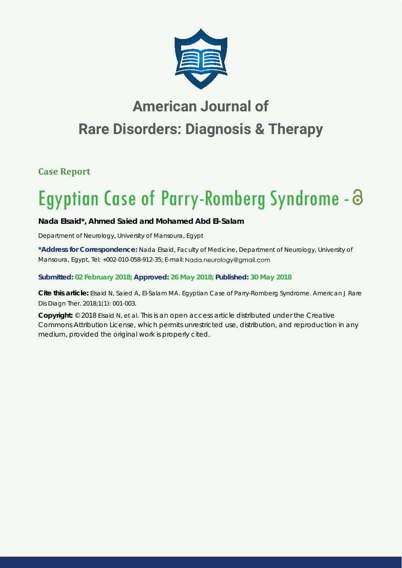

# **American Journal of Rare Disorders: Diagnosis & Therapy**

**Case Report**

# Egyptian Case of Parry-Romberg Syndrome -

# **Nada Elsaid\*, Ahmed Saied and Mohamed Abd El-Salam**

*Department of Neurology, University of Mansoura, Egypt*

**\*Address for Correspondence:** Nada Elsaid, Faculty of Medicine, Department of Neurology, University of Mansoura, Egypt, Tel: +002-010-058-912-35; E-mail: Nada.neurology@gmail.com

# **Submitted: 02 February 2018; Approved: 26 May 2018; Published: 30 May 2018**

**Cite this article:** Elsaid N, Saied A, El-Salam MA. Egyptian Case of Parry-Romberg Syndrome. American J Rare Dis Diagn Ther. 2018;1(1): 001-003.

**Copyright:** © 2018 Elsaid N, et al. This is an open access article distributed under the Creative Commons Attribution License, which permits unrestricted use, distribution, and reproduction in any medium, provided the original work is properly cited.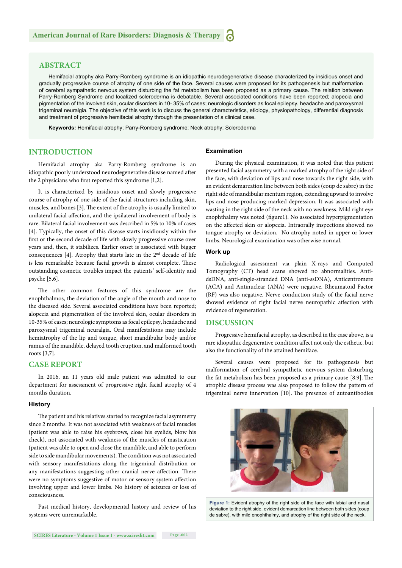# **ABSTRACT**

Hemifacial atrophy aka Parry-Romberg syndrome is an idiopathic neurodegenerative disease characterized by insidious onset and gradually progressive course of atrophy of one side of the face. Several causes were proposed for its pathogenesis but malformation of cerebral sympathetic nervous system disturbing the fat metabolism has been proposed as a primary cause. The relation between Parry-Romberg Syndrome and localized scleroderma is debatable. Several associated conditions have been reported; alopecia and pigmentation of the involved skin, ocular disorders in 10- 35% of cases; neurologic disorders as focal epilepsy, headache and paroxysmal trigeminal neuralgia. The objective of this work is to discuss the general characteristics, etiology, physiopathology, differential diagnosis and treatment of progressive hemifacial atrophy through the presentation of a clinical case.

**Keywords:** Hemifacial atrophy; Parry-Romberg syndrome; Neck atrophy; Scleroderma

# **INTRODUCTION**

Hemifacial atrophy aka Parry-Romberg syndrome is an idiopathic poorly understood neurodegenerative disease named after the 2 physicians who first reported this syndrome  $[1,2]$ .

It is characterized by insidious onset and slowly progressive course of atrophy of one side of the facial structures including skin, muscles, and bones [3]. The extent of the atrophy is usually limited to unilateral facial affection, and the ipsilateral involvement of body is rare. Bilateral facial involvement was described in 5% to 10% of cases [4]. Typically, the onset of this disease starts insidiously within the first or the second decade of life with slowly progressive course over years and, then, it stabilizes. Earlier onset is associated with bigger consequences [4]. Atrophy that starts late in the  $2<sup>nd</sup>$  decade of life is less remarkable because facial growth is almost complete. These outstanding cosmetic troubles impact the patients' self-identity and psyche [5,6].

The other common features of this syndrome are the enophthalmos, the deviation of the angle of the mouth and nose to the diseased side. Several associated conditions have been reported; alopecia and pigmentation of the involved skin, ocular disorders in 10-35% of cases; neurologic symptoms as focal epilepsy, headache and paroxysmal trigeminal neuralgia. Oral manifestations may include hemiatrophy of the lip and tongue, short mandibular body and/or ramus of the mandible, delayed tooth eruption, and malformed tooth roots [3,7].

### **CASE REPORT**

In 2016, an 11 years old male patient was admitted to our department for assessment of progressive right facial atrophy of 4 months duration.

#### **History**

The patient and his relatives started to recognize facial asymmetry since 2 months. It was not associated with weakness of facial muscles (patient was able to raise his eyebrows, close his eyelids, blow his check), not associated with weakness of the muscles of mastication (patient was able to open and close the mandible, and able to perform side to side mandibular movements). The condition was not associated with sensory manifestations along the trigeminal distribution or any manifestations suggesting other cranial nerve affection. There were no symptoms suggestive of motor or sensory system affection involving upper and lower limbs. No history of seizures or loss of consciousness.

Past medical history, developmental history and review of his systems were unremarkable.

#### **Examination**

During the physical examination, it was noted that this patient presented facial asymmetry with a marked atrophy of the right side of the face, with deviation of lips and nose towards the right side, with an evident demarcation line between both sides (coup de sabre) in the right side of mandibular mentum region, extending upward to involve lips and nose producing marked depression. It was associated with wasting in the right side of the neck with no weakness. Mild right eye enophthalmy was noted (figure1). No associated hyperpigmentation on the affected skin or alopecia. Intraorally inspections showed no tongue atrophy or deviation. No atrophy noted in upper or lower limbs. Neurological examination was otherwise normal.

#### **Work up**

Radiological assessment via plain X-rays and Computed Tomography (CT) head scans showed no abnormalities. AntidsDNA, anti-single-stranded DNA (anti-ssDNA), Anticentromere (ACA) and Antinuclear (ANA) were negative. Rheumatoid Factor (RF) was also negative. Nerve conduction study of the facial nerve showed evidence of right facial nerve neuropathic affection with evidence of regeneration.

# **DISCUSSION**

Progressive hemifacial atrophy, as described in the case above, is a rare idiopathic degenerative condition affect not only the esthetic, but also the functionality of the attained hemiface.

Several causes were proposed for its pathogenesis but malformation of cerebral sympathetic nervous system disturbing the fat metabolism has been proposed as a primary cause  $[8,9]$ . The atrophic disease process was also proposed to follow the pattern of trigeminal nerve innervation [10]. The presence of autoantibodies



**Figure 1:** Evident atrophy of the right side of the face with labial and nasal deviation to the right side, evident demarcation line between both sides (coup de sabre), with mild enophthalmy, and atrophy of the right side of the neck.